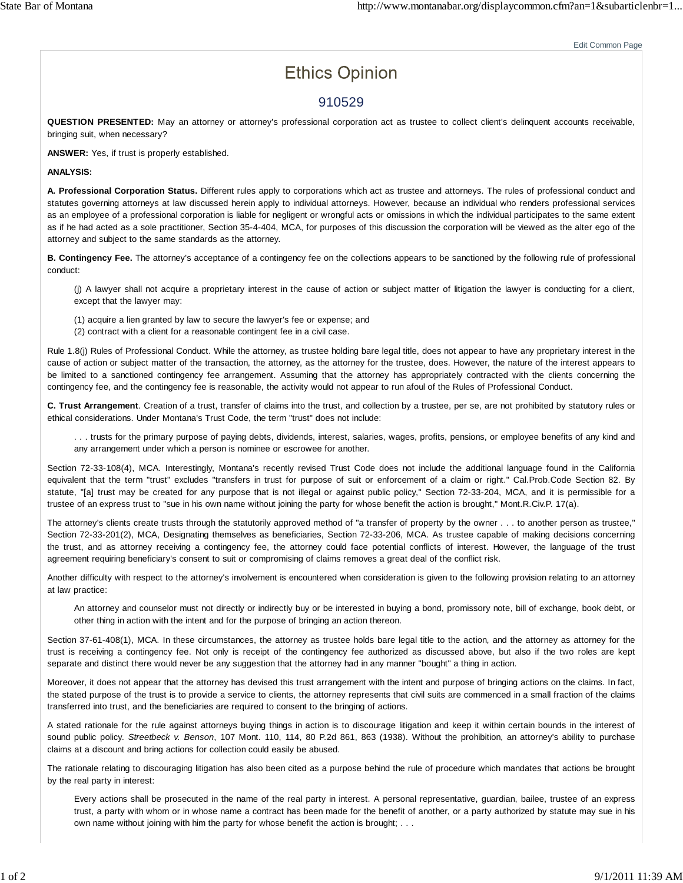# **Ethics Opinion**

Edit Common Page

## 910529

**QUESTION PRESENTED:** May an attorney or attorney's professional corporation act as trustee to collect client's delinquent accounts receivable, bringing suit, when necessary?

**ANSWER:** Yes, if trust is properly established.

#### **ANALYSIS:**

**A. Professional Corporation Status.** Different rules apply to corporations which act as trustee and attorneys. The rules of professional conduct and statutes governing attorneys at law discussed herein apply to individual attorneys. However, because an individual who renders professional services as an employee of a professional corporation is liable for negligent or wrongful acts or omissions in which the individual participates to the same extent as if he had acted as a sole practitioner, Section 35-4-404, MCA, for purposes of this discussion the corporation will be viewed as the alter ego of the attorney and subject to the same standards as the attorney.

**B. Contingency Fee.** The attorney's acceptance of a contingency fee on the collections appears to be sanctioned by the following rule of professional conduct:

(j) A lawyer shall not acquire a proprietary interest in the cause of action or subject matter of litigation the lawyer is conducting for a client, except that the lawyer may:

- (1) acquire a lien granted by law to secure the lawyer's fee or expense; and
- (2) contract with a client for a reasonable contingent fee in a civil case.

Rule 1.8(j) Rules of Professional Conduct. While the attorney, as trustee holding bare legal title, does not appear to have any proprietary interest in the cause of action or subject matter of the transaction, the attorney, as the attorney for the trustee, does. However, the nature of the interest appears to be limited to a sanctioned contingency fee arrangement. Assuming that the attorney has appropriately contracted with the clients concerning the contingency fee, and the contingency fee is reasonable, the activity would not appear to run afoul of the Rules of Professional Conduct.

**C. Trust Arrangement**. Creation of a trust, transfer of claims into the trust, and collection by a trustee, per se, are not prohibited by statutory rules or ethical considerations. Under Montana's Trust Code, the term "trust" does not include:

. . . trusts for the primary purpose of paying debts, dividends, interest, salaries, wages, profits, pensions, or employee benefits of any kind and any arrangement under which a person is nominee or escrowee for another.

Section 72-33-108(4), MCA. Interestingly, Montana's recently revised Trust Code does not include the additional language found in the California equivalent that the term "trust" excludes "transfers in trust for purpose of suit or enforcement of a claim or right." Cal.Prob.Code Section 82. By statute, "[a] trust may be created for any purpose that is not illegal or against public policy," Section 72-33-204, MCA, and it is permissible for a trustee of an express trust to "sue in his own name without joining the party for whose benefit the action is brought," Mont.R.Civ.P. 17(a).

The attorney's clients create trusts through the statutorily approved method of "a transfer of property by the owner . . . to another person as trustee," Section 72-33-201(2), MCA, Designating themselves as beneficiaries, Section 72-33-206, MCA. As trustee capable of making decisions concerning the trust, and as attorney receiving a contingency fee, the attorney could face potential conflicts of interest. However, the language of the trust agreement requiring beneficiary's consent to suit or compromising of claims removes a great deal of the conflict risk.

Another difficulty with respect to the attorney's involvement is encountered when consideration is given to the following provision relating to an attorney at law practice:

An attorney and counselor must not directly or indirectly buy or be interested in buying a bond, promissory note, bill of exchange, book debt, or other thing in action with the intent and for the purpose of bringing an action thereon.

Section 37-61-408(1), MCA. In these circumstances, the attorney as trustee holds bare legal title to the action, and the attorney as attorney for the trust is receiving a contingency fee. Not only is receipt of the contingency fee authorized as discussed above, but also if the two roles are kept separate and distinct there would never be any suggestion that the attorney had in any manner "bought" a thing in action.

Moreover, it does not appear that the attorney has devised this trust arrangement with the intent and purpose of bringing actions on the claims. In fact, the stated purpose of the trust is to provide a service to clients, the attorney represents that civil suits are commenced in a small fraction of the claims transferred into trust, and the beneficiaries are required to consent to the bringing of actions.

A stated rationale for the rule against attorneys buying things in action is to discourage litigation and keep it within certain bounds in the interest of sound public policy. *Streetbeck v. Benson*, 107 Mont. 110, 114, 80 P.2d 861, 863 (1938). Without the prohibition, an attorney's ability to purchase claims at a discount and bring actions for collection could easily be abused.

The rationale relating to discouraging litigation has also been cited as a purpose behind the rule of procedure which mandates that actions be brought by the real party in interest:

Every actions shall be prosecuted in the name of the real party in interest. A personal representative, guardian, bailee, trustee of an express trust, a party with whom or in whose name a contract has been made for the benefit of another, or a party authorized by statute may sue in his own name without joining with him the party for whose benefit the action is brought; . . .